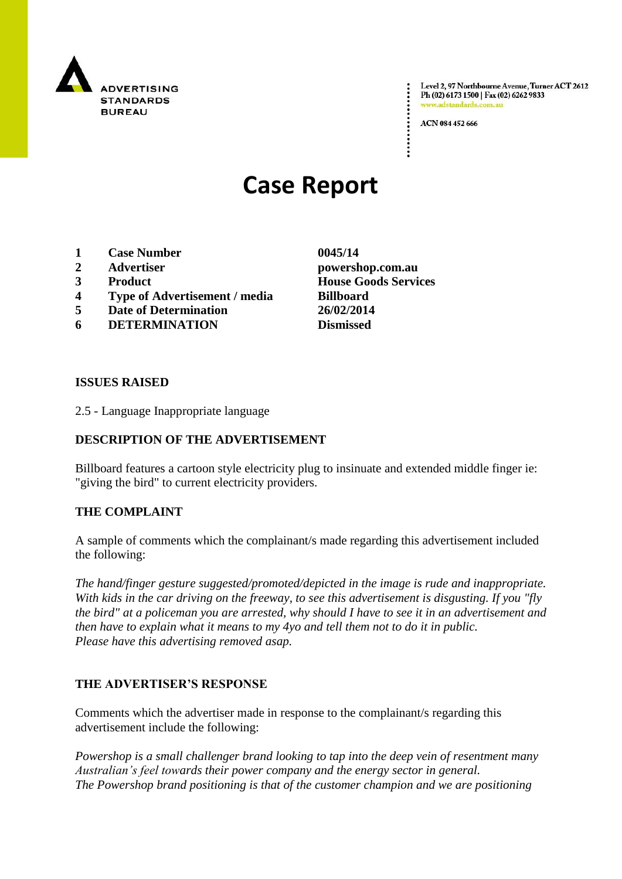

Level 2, 97 Northbourne Avenue, Turner ACT 2612 Ph (02) 6173 1500 | Fax (02) 6262 9833 www.adstandards.co

ACN 084 452 666

# **Case Report**

- **1 Case Number 0045/14**
- **2 Advertiser powershop.com.au**
- **3 Product House Goods Services**
- **4 Type of Advertisement / media Billboard**
- **5 Date of Determination 26/02/2014**
- **6 DETERMINATION Dismissed**

**ISSUES RAISED**

2.5 - Language Inappropriate language

## **DESCRIPTION OF THE ADVERTISEMENT**

Billboard features a cartoon style electricity plug to insinuate and extended middle finger ie: "giving the bird" to current electricity providers.

## **THE COMPLAINT**

A sample of comments which the complainant/s made regarding this advertisement included the following:

*The hand/finger gesture suggested/promoted/depicted in the image is rude and inappropriate. With kids in the car driving on the freeway, to see this advertisement is disgusting. If you "fly the bird" at a policeman you are arrested, why should I have to see it in an advertisement and then have to explain what it means to my 4yo and tell them not to do it in public. Please have this advertising removed asap.*

## **THE ADVERTISER'S RESPONSE**

Comments which the advertiser made in response to the complainant/s regarding this advertisement include the following:

*Powershop is a small challenger brand looking to tap into the deep vein of resentment many Australian's feel towards their power company and the energy sector in general. The Powershop brand positioning is that of the customer champion and we are positioning*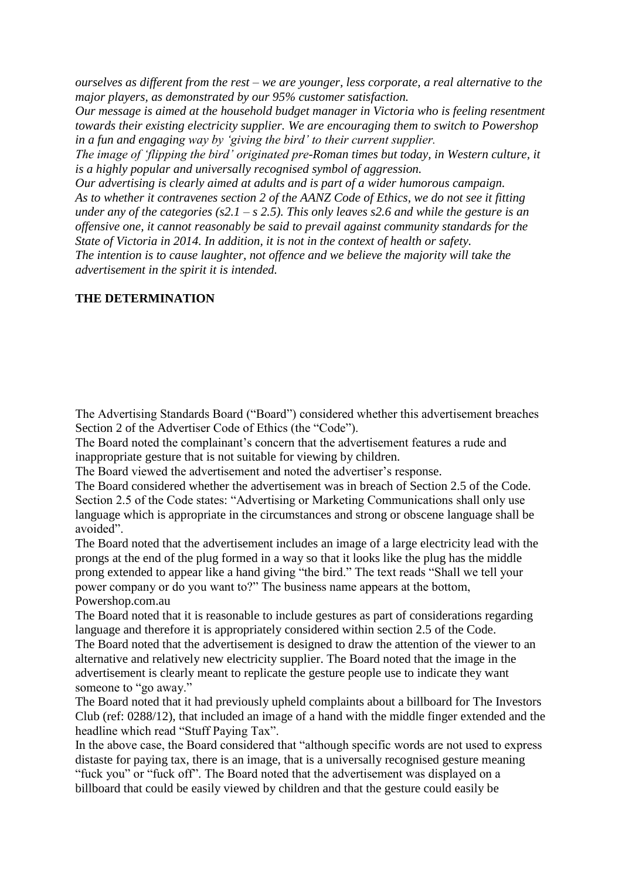*ourselves as different from the rest – we are younger, less corporate, a real alternative to the major players, as demonstrated by our 95% customer satisfaction.*

*Our message is aimed at the household budget manager in Victoria who is feeling resentment towards their existing electricity supplier. We are encouraging them to switch to Powershop in a fun and engaging way by 'giving the bird' to their current supplier.*

*The image of 'flipping the bird' originated pre-Roman times but today, in Western culture, it is a highly popular and universally recognised symbol of aggression.*

*Our advertising is clearly aimed at adults and is part of a wider humorous campaign. As to whether it contravenes section 2 of the AANZ Code of Ethics, we do not see it fitting under any of the categories (s2.1 – s 2.5). This only leaves s2.6 and while the gesture is an offensive one, it cannot reasonably be said to prevail against community standards for the State of Victoria in 2014. In addition, it is not in the context of health or safety.*

*The intention is to cause laughter, not offence and we believe the majority will take the advertisement in the spirit it is intended.*

### **THE DETERMINATION**

The Advertising Standards Board ("Board") considered whether this advertisement breaches Section 2 of the Advertiser Code of Ethics (the "Code").

The Board noted the complainant's concern that the advertisement features a rude and inappropriate gesture that is not suitable for viewing by children.

The Board viewed the advertisement and noted the advertiser's response.

The Board considered whether the advertisement was in breach of Section 2.5 of the Code. Section 2.5 of the Code states: "Advertising or Marketing Communications shall only use language which is appropriate in the circumstances and strong or obscene language shall be avoided".

The Board noted that the advertisement includes an image of a large electricity lead with the prongs at the end of the plug formed in a way so that it looks like the plug has the middle prong extended to appear like a hand giving "the bird." The text reads "Shall we tell your power company or do you want to?" The business name appears at the bottom, Powershop.com.au

The Board noted that it is reasonable to include gestures as part of considerations regarding language and therefore it is appropriately considered within section 2.5 of the Code. The Board noted that the advertisement is designed to draw the attention of the viewer to an alternative and relatively new electricity supplier. The Board noted that the image in the advertisement is clearly meant to replicate the gesture people use to indicate they want

someone to "go away."

The Board noted that it had previously upheld complaints about a billboard for The Investors Club (ref: 0288/12), that included an image of a hand with the middle finger extended and the headline which read "Stuff Paying Tax".

In the above case, the Board considered that "although specific words are not used to express distaste for paying tax, there is an image, that is a universally recognised gesture meaning "fuck you" or "fuck off". The Board noted that the advertisement was displayed on a billboard that could be easily viewed by children and that the gesture could easily be